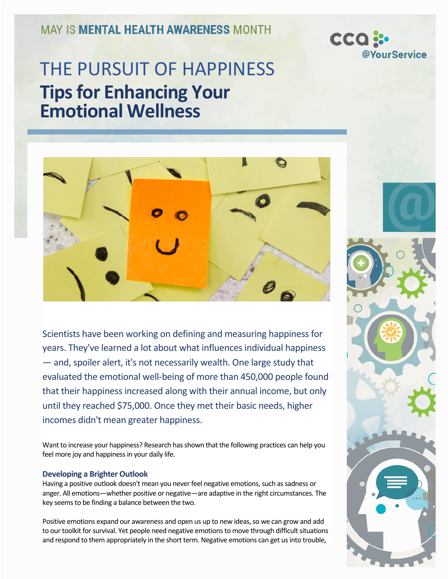**MAY IS MENTAL HEALTH AWARENESS MONTH** 



# THE PURSUIT OF HAPPINESS **Tips for Enhancing Your Emotional Wellness**



Scientists have been working on defining and measuring happiness for years. They've learned a lot about what influences individual happiness — and, spoiler alert, it's not necessarily wealth. One large study that evaluated the emotional well-being of more than 450,000 people found that their happiness increased along with their annual income, but only until they reached \$75,000. Once they met their basic needs, higher incomes didn't mean greater happiness.

Want to increase your happiness? Research has shown that the following practices can help you feel more joy and happiness in your daily life.

### **Developing a Brighter Outlook**

Having a positive outlook doesn't mean you never feel negative emotions, such as sadness or anger. All emotions—whether positive or negative—are adaptive in the right circumstances. The key seems to be finding a balance between the two.

Positive emotions expand our awareness and open us up to new ideas, so we can grow and add to our toolkit for survival. Yet people need negative emotions to move through difficult situations and respond to them appropriately in the short term. Negative emotions can get us into trouble,

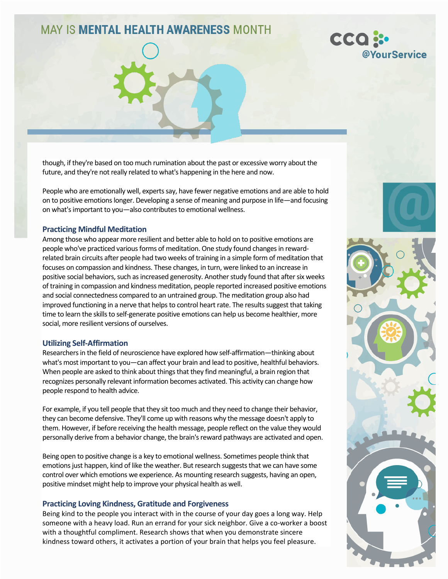## **MAY IS MENTAL HEALTH AWARENESS MONTH**



though, if they're based on too much rumination about the past or excessive worry about the future, and they're not really related to what's happening in the here and now.

People who are emotionally well, experts say, have fewer negative emotions and are able to hold on to positive emotions longer. Developing a sense of meaning and purpose in life—and focusing on what's important to you—also contributes to emotional wellness.

#### **Practicing Mindful Meditation**

Among those who appear more resilient and better able to hold on to positive emotions are people who've practiced various forms of meditation. One study found changes in rewardrelated brain circuits after people had two weeks of training in a simple form of meditation that focuses on compassion and kindness. These changes, in turn, were linked to an increase in positive social behaviors, such as increased generosity. Another study found that after six weeks of training in compassion and kindness meditation, people reported increased positive emotions and social connectedness compared to an untrained group. The meditation group also had improved functioning in a nerve that helps to control heart rate. The results suggest that taking time to learn the skills to self-generate positive emotions can help us become healthier, more social, more resilient versions of ourselves.

#### **Utilizing Self-Affirmation**

Researchers in the field of neuroscience have explored how self-affirmation—thinking about what's most important to you—can affect your brain and lead to positive, healthful behaviors. When people are asked to think about things that they find meaningful, a brain region that recognizes personally relevant information becomes activated. This activity can change how people respond to health advice.

For example, if you tell people that they sit too much and they need to change their behavior, they can become defensive. They'll come up with reasons why the message doesn't apply to them. However, if before receiving the health message, people reflect on the value they would personally derive from a behavior change, the brain's reward pathways are activated and open.

Being open to positive change is a key to emotional wellness. Sometimes people think that emotions just happen, kind of like the weather. But research suggests that we can have some control over which emotions we experience. As mounting research suggests, having an open, positive mindset might help to improve your physical health as well.

#### **Practicing Loving Kindness, Gratitude and Forgiveness**

Being kind to the people you interact with in the course of your day goes a long way. Help someone with a heavy load. Run an errand for your sick neighbor. Give a co-worker a boost with a thoughtful compliment. Research shows that when you demonstrate sincere kindness toward others, it activates a portion of your brain that helps you feel pleasure.